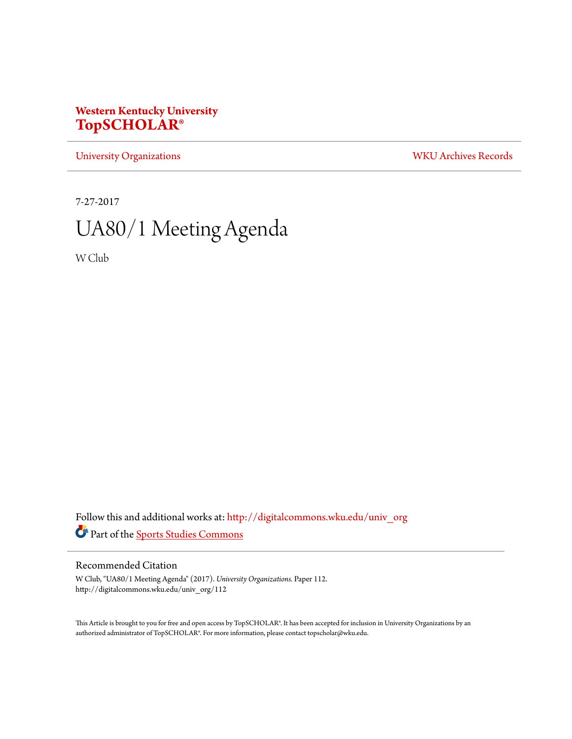## **Western Kentucky University [TopSCHOLAR®](http://digitalcommons.wku.edu?utm_source=digitalcommons.wku.edu%2Funiv_org%2F112&utm_medium=PDF&utm_campaign=PDFCoverPages)**

[University Organizations](http://digitalcommons.wku.edu/univ_org?utm_source=digitalcommons.wku.edu%2Funiv_org%2F112&utm_medium=PDF&utm_campaign=PDFCoverPages) [WKU Archives Records](http://digitalcommons.wku.edu/dlsc_ua_records?utm_source=digitalcommons.wku.edu%2Funiv_org%2F112&utm_medium=PDF&utm_campaign=PDFCoverPages)

7-27-2017

# UA80/1 Meeting Agenda

W Club

Follow this and additional works at: [http://digitalcommons.wku.edu/univ\\_org](http://digitalcommons.wku.edu/univ_org?utm_source=digitalcommons.wku.edu%2Funiv_org%2F112&utm_medium=PDF&utm_campaign=PDFCoverPages) Part of the [Sports Studies Commons](http://network.bepress.com/hgg/discipline/1198?utm_source=digitalcommons.wku.edu%2Funiv_org%2F112&utm_medium=PDF&utm_campaign=PDFCoverPages)

#### Recommended Citation

W Club, "UA80/1 Meeting Agenda" (2017). *University Organizations.* Paper 112. http://digitalcommons.wku.edu/univ\_org/112

This Article is brought to you for free and open access by TopSCHOLAR®. It has been accepted for inclusion in University Organizations by an authorized administrator of TopSCHOLAR®. For more information, please contact topscholar@wku.edu.